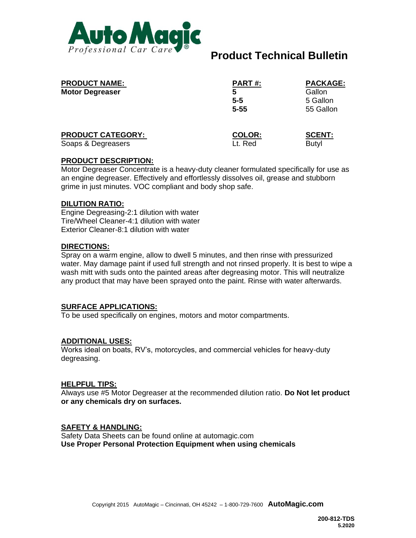

# **Product Technical Bulletin**

| <b>PRODUCT NAME:</b><br><b>Motor Degreaser</b> | PART#:<br>5<br>$5 - 5$<br>$5 - 55$ | PACKAGE:<br>Gallon<br>5 Gallon<br>55 Gallon |
|------------------------------------------------|------------------------------------|---------------------------------------------|
| <b>PRODUCT CATEGORY:</b>                       | <b>COLOR:</b>                      | <b>SCENT:</b>                               |
| Soaps & Degreasers                             | Lt. Red                            | <b>Butyl</b>                                |

## **PRODUCT DESCRIPTION:**

Motor Degreaser Concentrate is a heavy-duty cleaner formulated specifically for use as an engine degreaser. Effectively and effortlessly dissolves oil, grease and stubborn grime in just minutes. VOC compliant and body shop safe.

## **DILUTION RATIO:**

Engine Degreasing-2:1 dilution with water Tire/Wheel Cleaner-4:1 dilution with water Exterior Cleaner-8:1 dilution with water

## **DIRECTIONS:**

Spray on a warm engine, allow to dwell 5 minutes, and then rinse with pressurized water. May damage paint if used full strength and not rinsed properly. It is best to wipe a wash mitt with suds onto the painted areas after degreasing motor. This will neutralize any product that may have been sprayed onto the paint. Rinse with water afterwards.

#### **SURFACE APPLICATIONS:**

To be used specifically on engines, motors and motor compartments.

# **ADDITIONAL USES:**

Works ideal on boats, RV's, motorcycles, and commercial vehicles for heavy-duty degreasing.

#### **HELPFUL TIPS:**

Always use #5 Motor Degreaser at the recommended dilution ratio. **Do Not let product or any chemicals dry on surfaces.**

# **SAFETY & HANDLING:**

Safety Data Sheets can be found online at automagic.com **Use Proper Personal Protection Equipment when using chemicals**